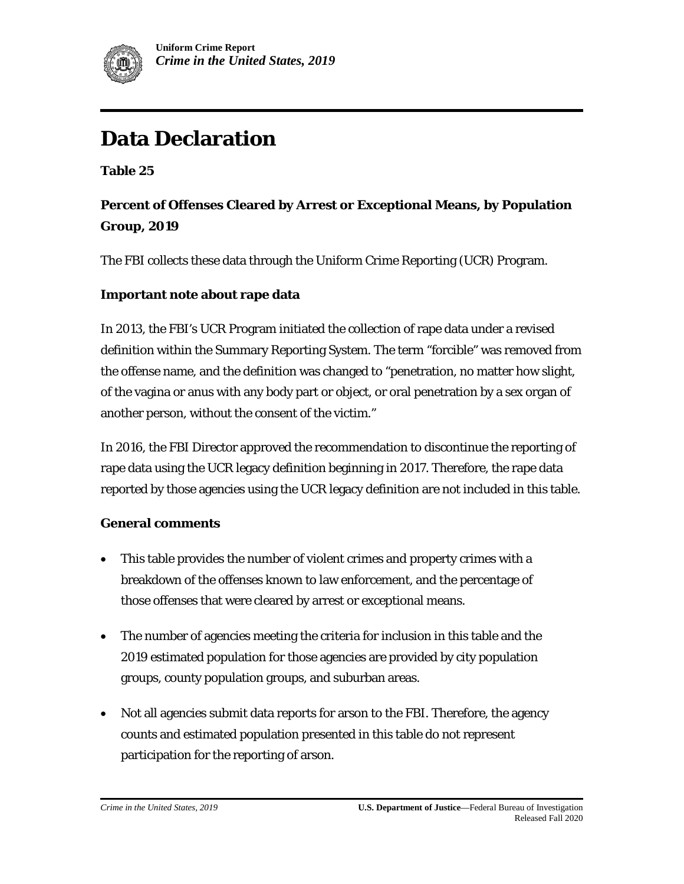

# **Data Declaration**

**Table 25**

### **Percent of Offenses Cleared by Arrest or Exceptional Means, by Population Group, 2019**

The FBI collects these data through the Uniform Crime Reporting (UCR) Program.

#### **Important note about rape data**

In 2013, the FBI's UCR Program initiated the collection of rape data under a revised definition within the Summary Reporting System. The term "forcible" was removed from the offense name, and the definition was changed to "penetration, no matter how slight, of the vagina or anus with any body part or object, or oral penetration by a sex organ of another person, without the consent of the victim."

In 2016, the FBI Director approved the recommendation to discontinue the reporting of rape data using the UCR legacy definition beginning in 2017. Therefore, the rape data reported by those agencies using the UCR legacy definition are not included in this table.

#### **General comments**

- This table provides the number of violent crimes and property crimes with a breakdown of the offenses known to law enforcement, and the percentage of those offenses that were cleared by arrest or exceptional means.
- The number of agencies meeting the criteria for inclusion in this table and the 2019 estimated population for those agencies are provided by city population groups, county population groups, and suburban areas.
- Not all agencies submit data reports for arson to the FBI. Therefore, the agency counts and estimated population presented in this table do not represent participation for the reporting of arson.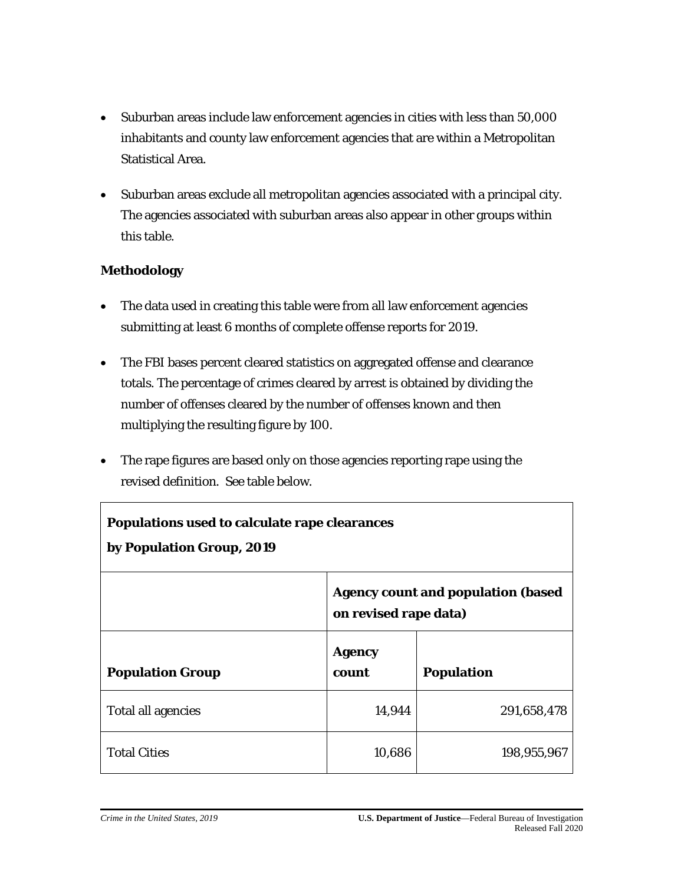- Suburban areas include law enforcement agencies in cities with less than 50,000 inhabitants and county law enforcement agencies that are within a Metropolitan Statistical Area.
- Suburban areas exclude all metropolitan agencies associated with a principal city. The agencies associated with suburban areas also appear in other groups within this table.

#### **Methodology**

Г

- The data used in creating this table were from all law enforcement agencies submitting at least 6 months of complete offense reports for 2019.
- The FBI bases percent cleared statistics on aggregated offense and clearance totals. The percentage of crimes cleared by arrest is obtained by dividing the number of offenses cleared by the number of offenses known and then multiplying the resulting figure by 100.
- The rape figures are based only on those agencies reporting rape using the revised definition. See table below.

| Populations used to calculate rape clearances<br>by Population Group, 2019 |                                                                     |                   |  |  |
|----------------------------------------------------------------------------|---------------------------------------------------------------------|-------------------|--|--|
|                                                                            | <b>Agency count and population (based)</b><br>on revised rape data) |                   |  |  |
| <b>Population Group</b>                                                    | <b>Agency</b><br>count                                              | <b>Population</b> |  |  |
| <b>Total all agencies</b>                                                  | 14,944                                                              | 291,658,478       |  |  |
| <b>Total Cities</b>                                                        | 10,686                                                              | 198,955,967       |  |  |

٦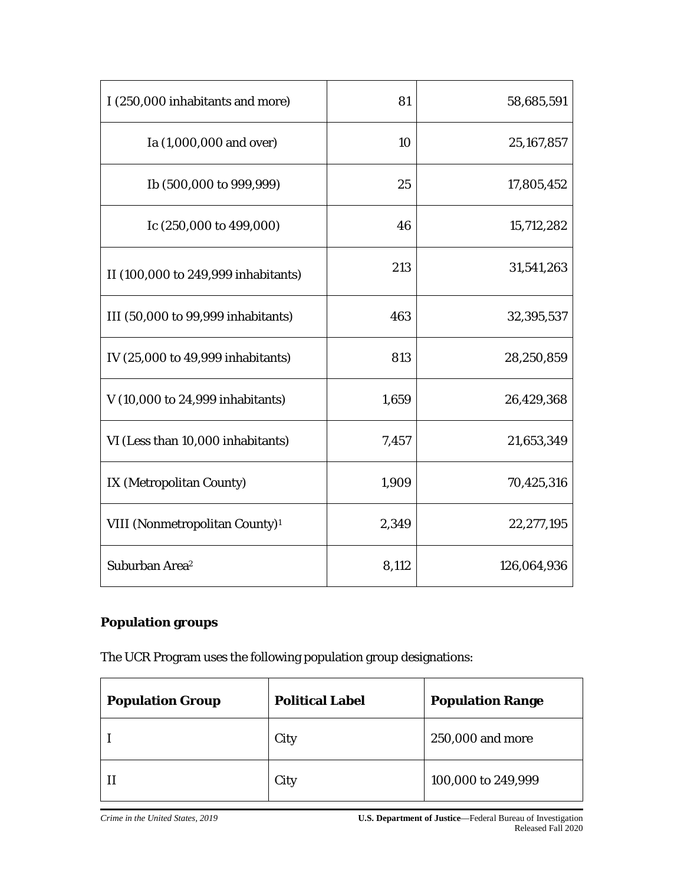| I (250,000 inhabitants and more)           | 81    | 58,685,591  |
|--------------------------------------------|-------|-------------|
| Ia (1,000,000 and over)                    | 10    | 25,167,857  |
| Ib (500,000 to 999,999)                    | 25    | 17,805,452  |
| Ic $(250,000 \text{ to } 499,000)$         | 46    | 15,712,282  |
| II (100,000 to 249,999 inhabitants)        | 213   | 31,541,263  |
| III (50,000 to 99,999 inhabitants)         | 463   | 32,395,537  |
| IV (25,000 to 49,999 inhabitants)          | 813   | 28,250,859  |
| V (10,000 to 24,999 inhabitants)           | 1,659 | 26,429,368  |
| VI (Less than 10,000 inhabitants)          | 7,457 | 21,653,349  |
| IX (Metropolitan County)                   | 1,909 | 70,425,316  |
| VIII (Nonmetropolitan County) <sup>1</sup> | 2,349 | 22,277,195  |
| Suburban Area <sup>2</sup>                 | 8,112 | 126,064,936 |

## **Population groups**

The UCR Program uses the following population group designations:

| <b>Population Group</b> | <b>Political Label</b> | <b>Population Range</b> |
|-------------------------|------------------------|-------------------------|
|                         | City                   | 250,000 and more        |
|                         | City                   | 100,000 to 249,999      |